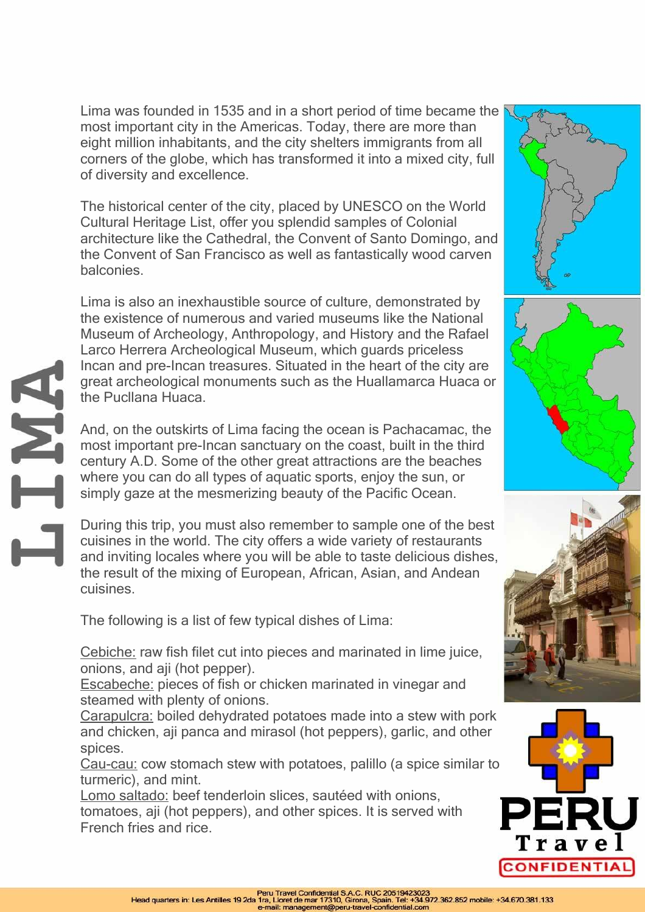Lima was founded in 1535 and in a short period of time became the most important city in the Americas. Today, there are more than eight million inhabitants, and the city shelters immigrants from all corners of the globe, which has transformed it into a mixed city, full of diversity and excellence.

The historical center of the city, placed by UNESCO on the World Cultural Heritage List, offer you splendid samples of Colonial architecture like the Cathedral, the Convent of Santo Domingo, and the Convent of San Francisco as well as fantastically wood carven balconies.

Lima is also an inexhaustible source of culture, demonstrated by the existence of numerous and varied museums like the National Museum of Archeology, Anthropology, and History and the Rafael Larco Herrera Archeological Museum, which guards priceless Incan and pre-Incan treasures. Situated in the heart of the city are great archeological monuments such as the Huallamarca Huaca or the Pucllana Huaca.

And, on the outskirts of Lima facing the ocean is Pachacamac, the most important pre-Incan sanctuary on the coast, built in the third century A.D. Some of the other great attractions are the beaches where you can do all types of aquatic sports, enjoy the sun, or simply gaze at the mesmerizing beauty of the Pacific Ocean.

During this trip, you must also remember to sample one of the best cuisines in the world. The city offers a wide variety of restaurants and inviting locales where you will be able to taste delicious dishes, the result of the mixing of European, African, Asian, and Andean cuisines.

The following is a list of few typical dishes of Lima:

ANT

Cebiche: raw fish filet cut into pieces and marinated in lime juice, onions, and aji (hot pepper).

Escabeche: pieces of fish or chicken marinated in vinegar and steamed with plenty of onions.

Carapulcra: boiled dehydrated potatoes made into a stew with pork and chicken, aji panca and mirasol (hot peppers), garlic, and other spices.

Cau-cau: cow stomach stew with potatoes, palillo (a spice similar to turmeric), and mint.

Lomo saltado: beef tenderloin slices, sautéed with onions, tomatoes, aji (hot peppers), and other spices. It is served with French fries and rice.